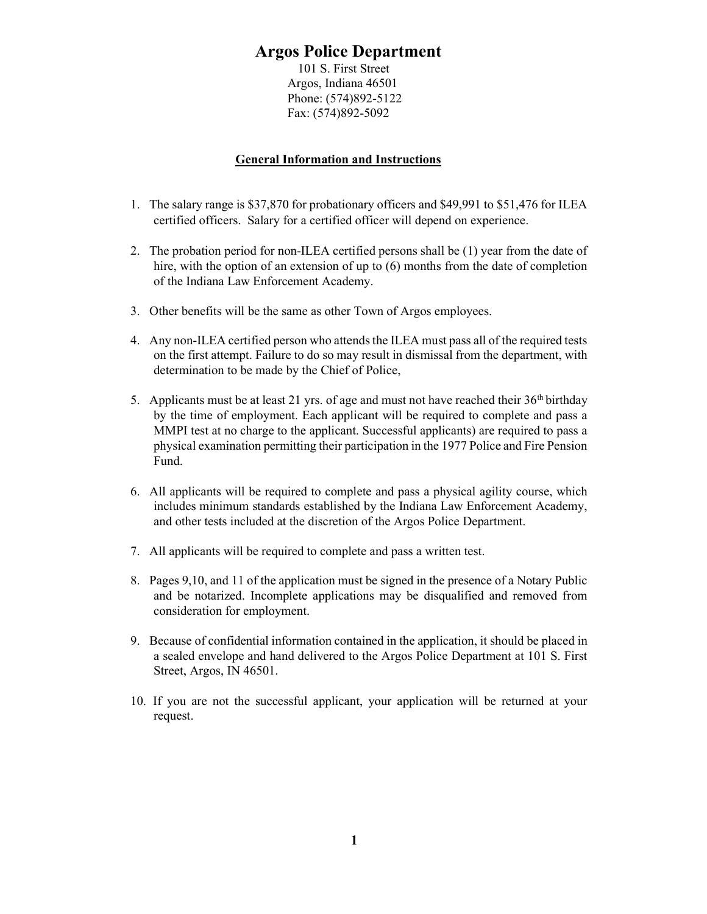### Argos Police Department

101 S. First Street Argos, Indiana 46501 Phone: (574)892-5122 Fax: (574)892-5092

#### General Information and Instructions

- 1. The salary range is \$37,870 for probationary officers and \$49,991 to \$51,476 for ILEA certified officers. Salary for a certified officer will depend on experience.
- 2. The probation period for non-ILEA certified persons shall be (1) year from the date of hire, with the option of an extension of up to (6) months from the date of completion of the Indiana Law Enforcement Academy.
- 3. Other benefits will be the same as other Town of Argos employees.
- 4. Any non-ILEA certified person who attends the ILEA must pass all of the required tests on the first attempt. Failure to do so may result in dismissal from the department, with determination to be made by the Chief of Police,
- 5. Applicants must be at least 21 yrs. of age and must not have reached their  $36<sup>th</sup>$  birthday by the time of employment. Each applicant will be required to complete and pass a MMPI test at no charge to the applicant. Successful applicants) are required to pass a physical examination permitting their participation in the 1977 Police and Fire Pension Fund.
- 6. All applicants will be required to complete and pass a physical agility course, which includes minimum standards established by the Indiana Law Enforcement Academy, and other tests included at the discretion of the Argos Police Department.
- 7. All applicants will be required to complete and pass a written test.
- 8. Pages 9,10, and 11 of the application must be signed in the presence of a Notary Public and be notarized. Incomplete applications may be disqualified and removed from consideration for employment.
- 9. Because of confidential information contained in the application, it should be placed in a sealed envelope and hand delivered to the Argos Police Department at 101 S. First Street, Argos, IN 46501.
- 10. If you are not the successful applicant, your application will be returned at your request.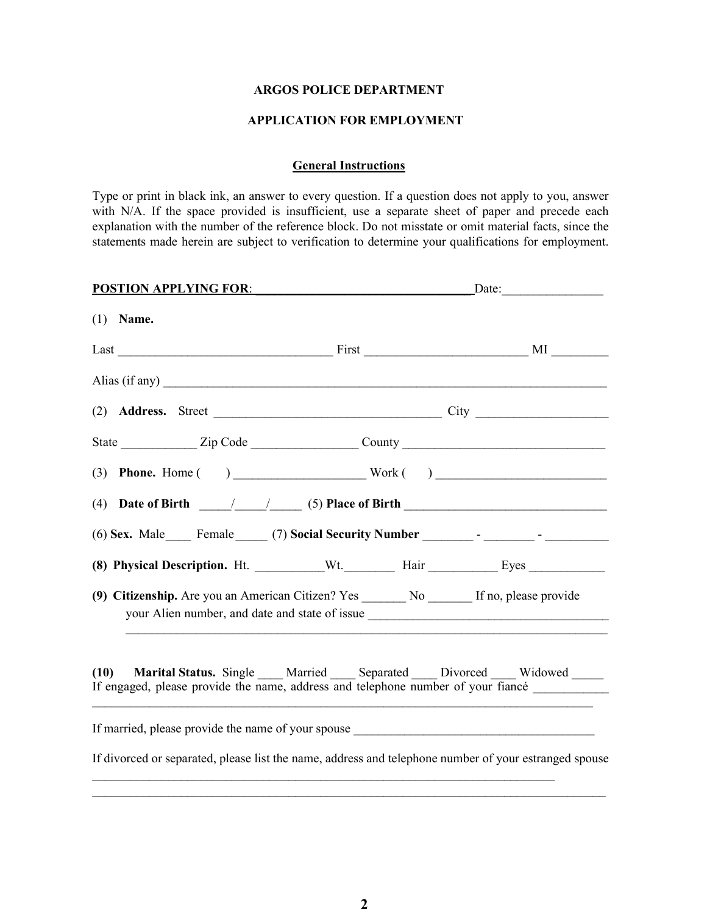#### ARGOS POLICE DEPARTMENT

#### APPLICATION FOR EMPLOYMENT

#### General Instructions

Type or print in black ink, an answer to every question. If a question does not apply to you, answer with N/A. If the space provided is insufficient, use a separate sheet of paper and precede each explanation with the number of the reference block. Do not misstate or omit material facts, since the statements made herein are subject to verification to determine your qualifications for employment.

| <b>POSTION APPLYING FOR:</b>                                                                          | $\text{Date:}$ |                                                                                    |  |  |
|-------------------------------------------------------------------------------------------------------|----------------|------------------------------------------------------------------------------------|--|--|
| $(1)$ Name.                                                                                           |                |                                                                                    |  |  |
|                                                                                                       |                |                                                                                    |  |  |
|                                                                                                       |                |                                                                                    |  |  |
|                                                                                                       |                |                                                                                    |  |  |
|                                                                                                       |                |                                                                                    |  |  |
|                                                                                                       |                |                                                                                    |  |  |
| (4) Date of Birth $\frac{1}{\sqrt{2\pi}}$ (5) Place of Birth $\frac{1}{\sqrt{2\pi}}$                  |                |                                                                                    |  |  |
|                                                                                                       |                |                                                                                    |  |  |
|                                                                                                       |                |                                                                                    |  |  |
| (9) Citizenship. Are you an American Citizen? Yes ________ No _______ If no, please provide           |                |                                                                                    |  |  |
| (10)<br>If engaged, please provide the name, address and telephone number of your fiancé              |                | Marital Status. Single ____ Married ____ Separated ____ Divorced ____ Widowed ____ |  |  |
| If married, please provide the name of your spouse _____________________________                      |                |                                                                                    |  |  |
| If divorced or separated, please list the name, address and telephone number of your estranged spouse |                |                                                                                    |  |  |
|                                                                                                       |                |                                                                                    |  |  |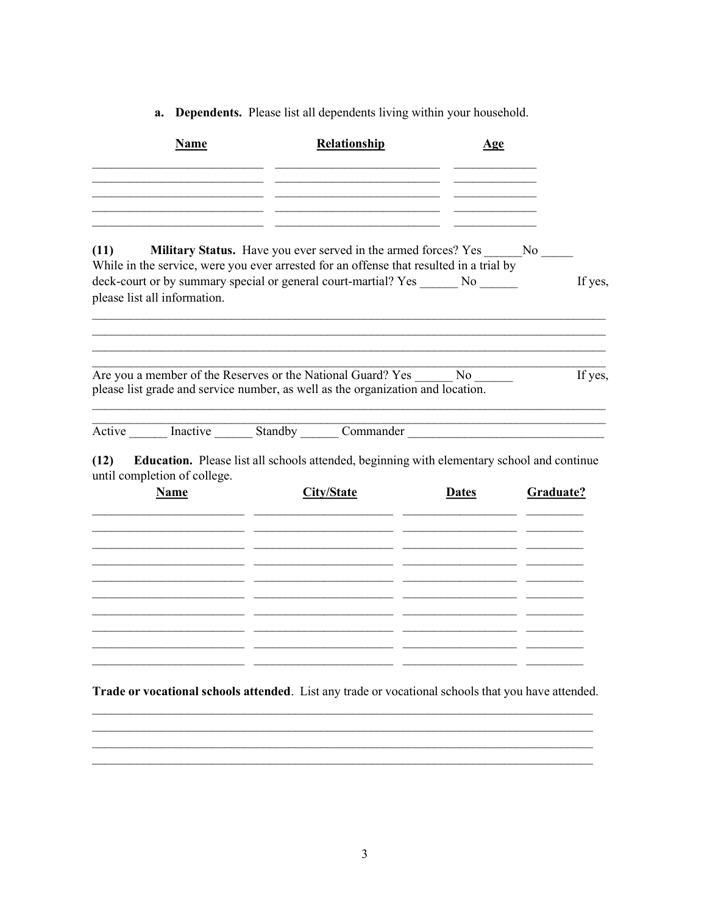a. Dependents. Please list all dependents living within your household.

| Name                                                                                                                                                                                                               | Relationship                                                                               | Age          |           |
|--------------------------------------------------------------------------------------------------------------------------------------------------------------------------------------------------------------------|--------------------------------------------------------------------------------------------|--------------|-----------|
|                                                                                                                                                                                                                    |                                                                                            |              |           |
| (11)<br>While in the service, were you ever arrested for an offense that resulted in a trial by<br>deck-court or by summary special or general court-martial? Yes ______ No ______<br>please list all information. | Military Status. Have you ever served in the armed forces? Yes ________ No ______          |              | If yes,   |
|                                                                                                                                                                                                                    |                                                                                            |              |           |
| Are you a member of the Reserves or the National Guard? Yes No<br>please list grade and service number, as well as the organization and location.                                                                  |                                                                                            |              | If yes,   |
| Active Inactive Standby Commander                                                                                                                                                                                  |                                                                                            |              |           |
| (12)<br>until completion of college.                                                                                                                                                                               | Education. Please list all schools attended, beginning with elementary school and continue |              |           |
| Name                                                                                                                                                                                                               | <b>City/State</b>                                                                          | <b>Dates</b> | Graduate? |
|                                                                                                                                                                                                                    |                                                                                            |              |           |
|                                                                                                                                                                                                                    |                                                                                            |              |           |
|                                                                                                                                                                                                                    |                                                                                            |              |           |
|                                                                                                                                                                                                                    |                                                                                            |              |           |
|                                                                                                                                                                                                                    |                                                                                            |              |           |

Trade or vocational schools attended. List any trade or vocational schools that you have attended.

 $\overline{\phantom{a}}$ 

<u> 1989 - Jan Sarah Barat, masjid aktor a shekara ta 1989 - André a Sarah Barat, masjid aktor a shekara ta 1981</u>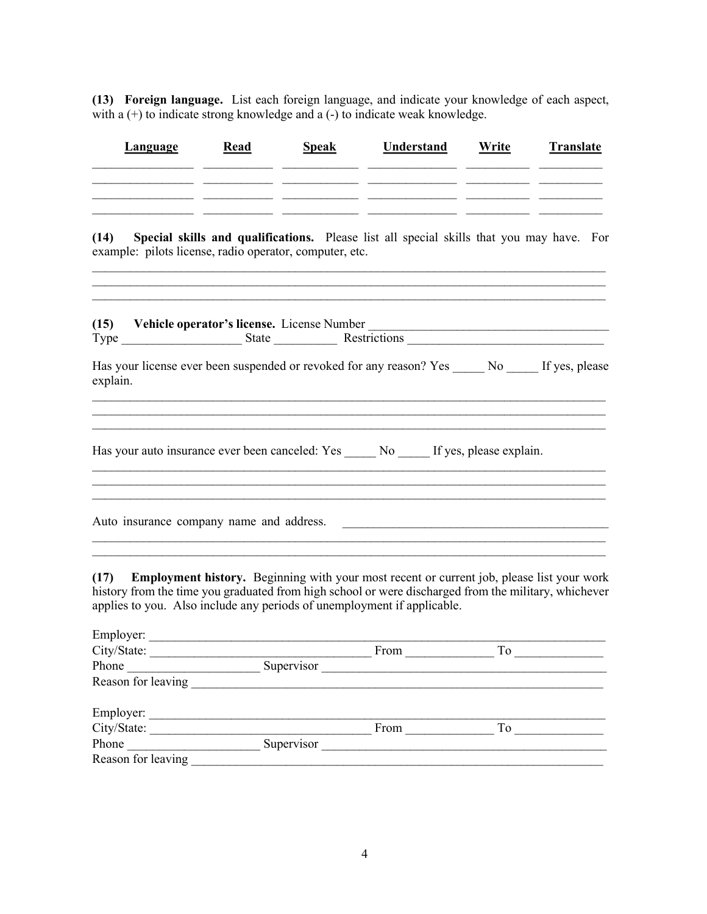(13) Foreign language. List each foreign language, and indicate your knowledge of each aspect, with a  $(+)$  to indicate strong knowledge and a  $(-)$  to indicate weak knowledge.

| Language                                                                                                              | Read | <b>Speak</b>                               | <b>Understand</b>                                                                        | Write | <b>Translate</b> |  |
|-----------------------------------------------------------------------------------------------------------------------|------|--------------------------------------------|------------------------------------------------------------------------------------------|-------|------------------|--|
| (14)<br>example: pilots license, radio operator, computer, etc.                                                       |      |                                            | Special skills and qualifications. Please list all special skills that you may have. For |       |                  |  |
| (15)<br>Has your license ever been suspended or revoked for any reason? Yes _____ No _____ If yes, please<br>explain. |      | Vehicle operator's license. License Number |                                                                                          |       |                  |  |
| Has your auto insurance ever been canceled: Yes ______ No ______ If yes, please explain.                              |      |                                            |                                                                                          |       |                  |  |
| Auto insurance company name and address.                                                                              |      |                                            |                                                                                          |       |                  |  |

(17) Employment history. Beginning with your most recent or current job, please list your work history from the time you graduated from high school or were discharged from the military, whichever applies to you. Also include any periods of unemployment if applicable.

| Employer:          |            |      |    |
|--------------------|------------|------|----|
| City/State:        |            | From | To |
| Phone              | Supervisor |      |    |
| Reason for leaving |            |      |    |
|                    |            |      |    |
| Employer:          |            |      |    |
| City/State:        |            | From | To |
| Phone              | Supervisor |      |    |
| Reason for leaving |            |      |    |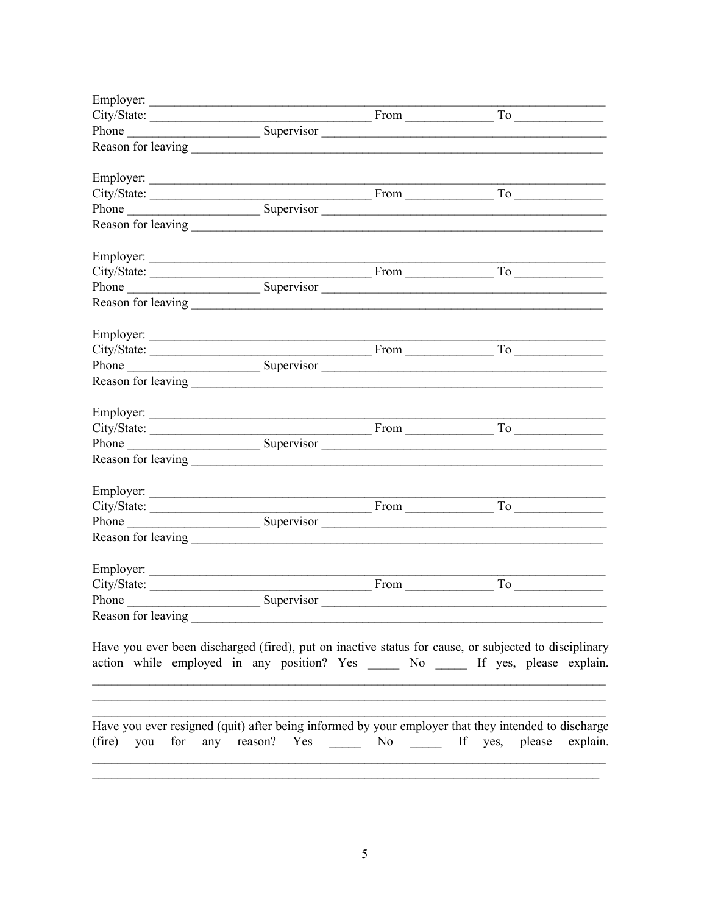|                    | Employer:        |      |                                                                                                                                                                                                                                                                                                                                                                                   |
|--------------------|------------------|------|-----------------------------------------------------------------------------------------------------------------------------------------------------------------------------------------------------------------------------------------------------------------------------------------------------------------------------------------------------------------------------------|
|                    |                  |      |                                                                                                                                                                                                                                                                                                                                                                                   |
|                    |                  |      | City/State: <u>From To To City/State:</u> Supervisor From To To To To Company Supervisor Company Supervisor Company Supervisor Company Supervisor Company Supervisor Company Supervisor Company Supervisor Company Supervisor Compa                                                                                                                                               |
|                    |                  |      |                                                                                                                                                                                                                                                                                                                                                                                   |
|                    | Employer:        |      |                                                                                                                                                                                                                                                                                                                                                                                   |
|                    |                  |      | $City/State:$ From From To                                                                                                                                                                                                                                                                                                                                                        |
|                    |                  |      | Phone Supervisor                                                                                                                                                                                                                                                                                                                                                                  |
|                    |                  |      |                                                                                                                                                                                                                                                                                                                                                                                   |
|                    |                  |      |                                                                                                                                                                                                                                                                                                                                                                                   |
|                    |                  |      |                                                                                                                                                                                                                                                                                                                                                                                   |
|                    |                  |      |                                                                                                                                                                                                                                                                                                                                                                                   |
|                    |                  |      |                                                                                                                                                                                                                                                                                                                                                                                   |
|                    |                  |      |                                                                                                                                                                                                                                                                                                                                                                                   |
|                    |                  |      |                                                                                                                                                                                                                                                                                                                                                                                   |
|                    |                  |      |                                                                                                                                                                                                                                                                                                                                                                                   |
|                    |                  |      |                                                                                                                                                                                                                                                                                                                                                                                   |
|                    |                  |      |                                                                                                                                                                                                                                                                                                                                                                                   |
|                    |                  |      | $City/State:$ From From To                                                                                                                                                                                                                                                                                                                                                        |
|                    |                  |      |                                                                                                                                                                                                                                                                                                                                                                                   |
|                    |                  |      |                                                                                                                                                                                                                                                                                                                                                                                   |
|                    | Employer:        |      |                                                                                                                                                                                                                                                                                                                                                                                   |
| City/State:        |                  | From | $To \begin{tabular}{ c c } \hline \rule{.4cm}{.4cm} \rule{.4cm}{.4cm} \rule{.4cm}{.4cm} \rule{.4cm}{.4cm} \rule{.4cm}{.4cm} \rule{.4cm}{.4cm} \rule{.4cm}{.4cm} \rule{.4cm}{.4cm} \rule{.4cm}{.4cm} \rule{.4cm}{.4cm} \rule{.4cm}{.4cm} \rule{.4cm}{.4cm} \rule{.4cm}{.4cm} \rule{.4cm}{.4cm} \rule{.4cm}{.4cm} \rule{.4cm}{.4cm} \rule{.4cm}{.4cm} \rule{.4cm}{.4cm} \rule{.4cm$ |
|                    | Phone Supervisor |      |                                                                                                                                                                                                                                                                                                                                                                                   |
| Reason for leaving |                  |      |                                                                                                                                                                                                                                                                                                                                                                                   |
|                    |                  |      | Have you ever been discharged (fired), put on inactive status for cause, or subjected to disciplinary                                                                                                                                                                                                                                                                             |
|                    |                  |      | action while employed in any position? Yes ______ No ______ If yes, please explain.                                                                                                                                                                                                                                                                                               |
|                    |                  |      |                                                                                                                                                                                                                                                                                                                                                                                   |
|                    |                  |      | Have you ever resigned (quit) after being informed by your employer that they intended to discharge<br>(fire) you for any reason? Yes ______ No ______ If yes, please explain.                                                                                                                                                                                                    |
|                    |                  |      |                                                                                                                                                                                                                                                                                                                                                                                   |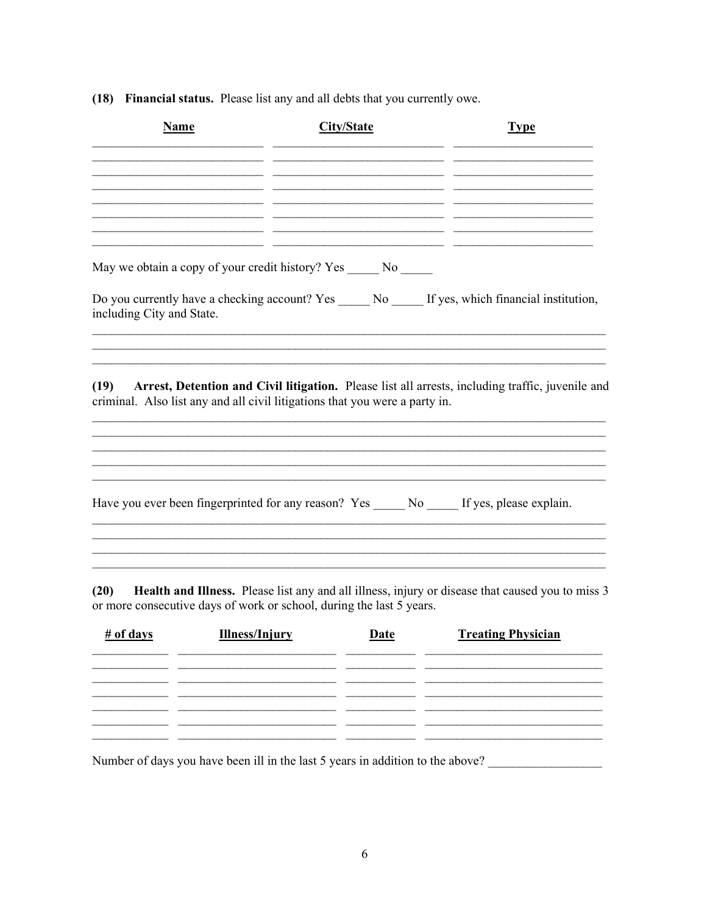(18) Financial status. Please list any and all debts that you currently owe.

| <b>Name</b>               |                       | <b>City/State</b>                                                                                                                                                                                                  | <b>Type</b>                                                                                           |
|---------------------------|-----------------------|--------------------------------------------------------------------------------------------------------------------------------------------------------------------------------------------------------------------|-------------------------------------------------------------------------------------------------------|
|                           |                       |                                                                                                                                                                                                                    |                                                                                                       |
|                           |                       |                                                                                                                                                                                                                    |                                                                                                       |
|                           |                       | the control of the control of the control of the control of the control of the control of<br><u> 1989 - Johann Barbara, martin amerikan basar dan berasal dan berasal dalam basar dalam basar dalam basar dala</u> |                                                                                                       |
|                           |                       | May we obtain a copy of your credit history? Yes ______ No _____                                                                                                                                                   |                                                                                                       |
| including City and State. |                       |                                                                                                                                                                                                                    | Do you currently have a checking account? Yes _____ No _____ If yes, which financial institution,     |
| (19)                      |                       | criminal. Also list any and all civil litigations that you were a party in.                                                                                                                                        | Arrest, Detention and Civil litigation. Please list all arrests, including traffic, juvenile and      |
|                           |                       |                                                                                                                                                                                                                    | Have you ever been fingerprinted for any reason? Yes ______ No ______ If yes, please explain.         |
|                           |                       |                                                                                                                                                                                                                    |                                                                                                       |
|                           |                       | or more consecutive days of work or school, during the last 5 years.                                                                                                                                               | (20) Health and Illness. Please list any and all illness, injury or disease that caused you to miss 3 |
| # of days                 | <b>Illness/Injury</b> | Date                                                                                                                                                                                                               | <b>Treating Physician</b>                                                                             |
|                           |                       |                                                                                                                                                                                                                    |                                                                                                       |
|                           |                       | - -                                                                                                                                                                                                                |                                                                                                       |
|                           |                       |                                                                                                                                                                                                                    |                                                                                                       |
|                           |                       |                                                                                                                                                                                                                    |                                                                                                       |

Number of days you have been ill in the last 5 years in addition to the above?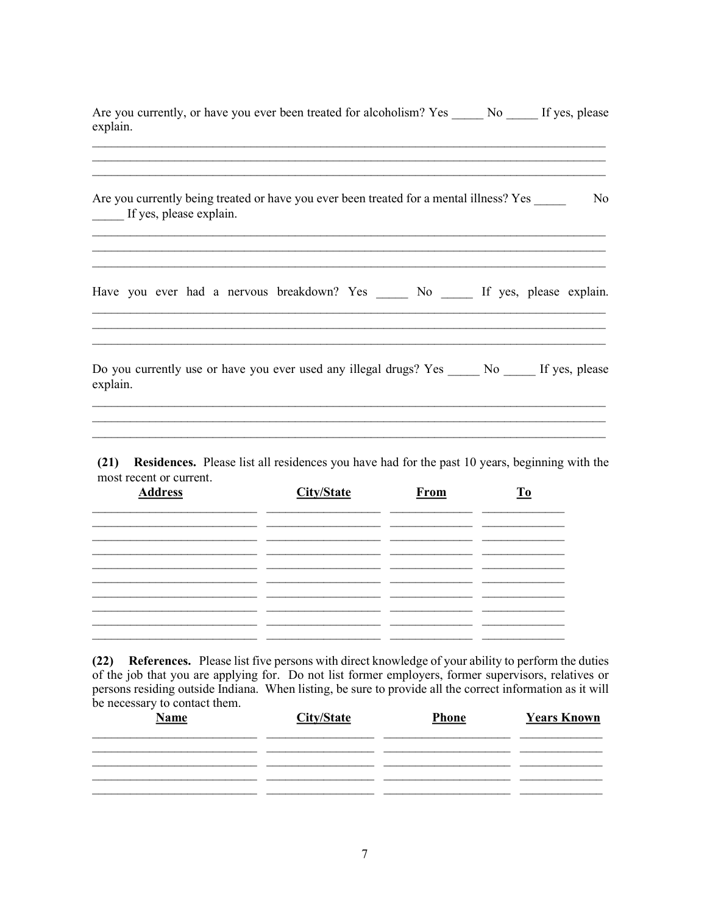Are you currently, or have you ever been treated for alcoholism? Yes \_\_\_\_\_\_ No \_\_\_\_\_ If yes, please explain.

|          | Are you currently being treated or have you ever been treated for a mental illness? Yes<br>If yes, please explain. |  |  |  |  |  | No |
|----------|--------------------------------------------------------------------------------------------------------------------|--|--|--|--|--|----|
|          | Have you ever had a nervous breakdown? Yes ______ No _____ If yes, please explain.                                 |  |  |  |  |  |    |
| explain. | Do you currently use or have you ever used any illegal drugs? Yes No If yes, please                                |  |  |  |  |  |    |

(21) Residences. Please list all residences you have had for the past 10 years, beginning with the most recent or current.

| <b>Address</b> | <b>City/State</b> | From | $\underline{\mathbf{To}}$ |  |
|----------------|-------------------|------|---------------------------|--|
|                |                   |      |                           |  |
|                |                   |      |                           |  |
|                |                   |      |                           |  |
|                |                   |      |                           |  |
|                |                   |      |                           |  |
|                |                   |      |                           |  |

(22) References. Please list five persons with direct knowledge of your ability to perform the duties of the job that you are applying for. Do not list former employers, former supervisors, relatives or persons residing outside Indiana. When listing, be sure to provide all the correct information as it will be necessary to contact them.

| -<br><b>Name</b> | City/State | <b>Phone</b> | <b>Years Known</b> |
|------------------|------------|--------------|--------------------|
|                  |            |              |                    |
|                  |            |              |                    |
|                  |            |              |                    |
|                  |            |              |                    |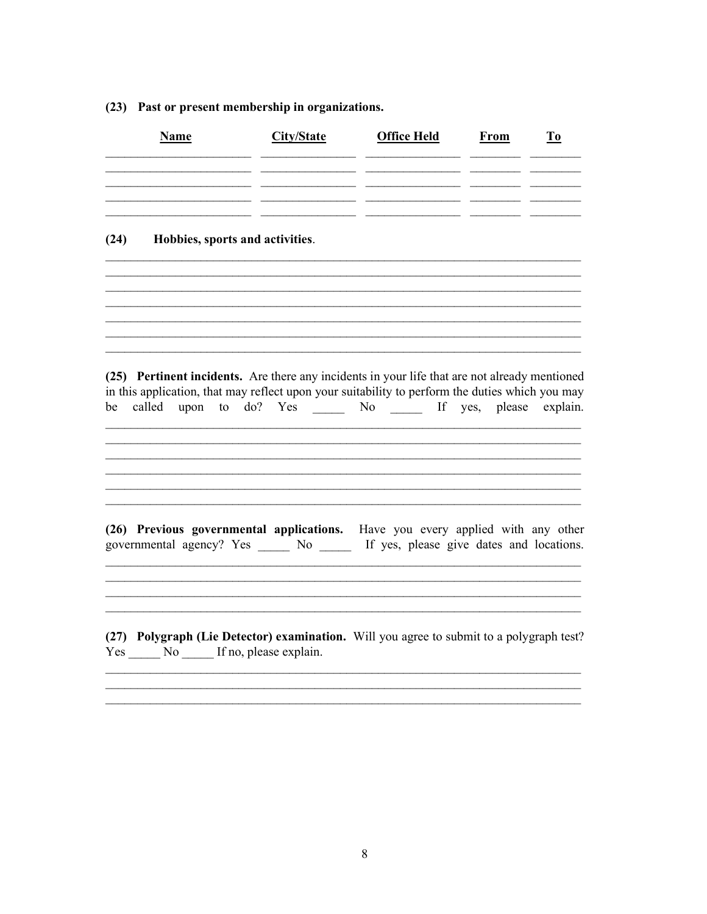| Name                                                                                                                                                                                                                                                                    | City/State | <b>Office Held</b> | From | T <sub>0</sub> |
|-------------------------------------------------------------------------------------------------------------------------------------------------------------------------------------------------------------------------------------------------------------------------|------------|--------------------|------|----------------|
|                                                                                                                                                                                                                                                                         |            |                    |      |                |
| Hobbies, sports and activities.<br>(24)                                                                                                                                                                                                                                 |            |                    |      |                |
|                                                                                                                                                                                                                                                                         |            |                    |      |                |
| (25) Pertinent incidents. Are there any incidents in your life that are not already mentioned<br>in this application, that may reflect upon your suitability to perform the duties which you may<br>called upon to do? Yes _____ No _____ If yes, please explain.<br>be |            |                    |      |                |
|                                                                                                                                                                                                                                                                         |            |                    |      |                |
| (26) Previous governmental applications. Have you every applied with any other<br>governmental agency? Yes ______ No ______ If yes, please give dates and locations.                                                                                                    |            |                    |      |                |
| (27) Polygraph (Lie Detector) examination. Will you agree to submit to a polygraph test?<br>Yes No If no, please explain.                                                                                                                                               |            |                    |      |                |

### (23) Past or present membership in organizations.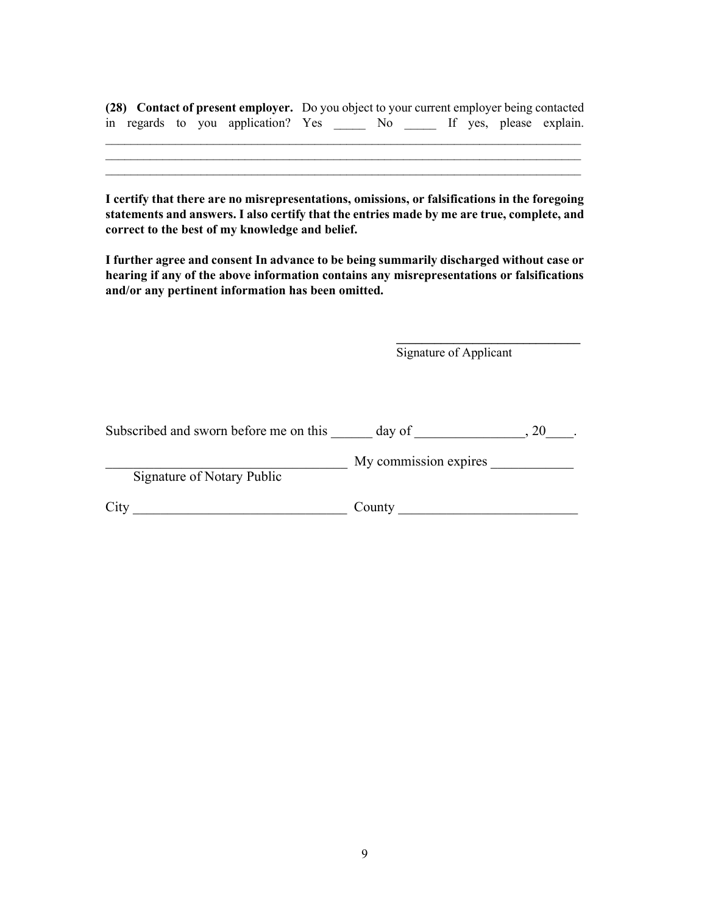|  |  |  | (28) Contact of present employer. Do you object to your current employer being contacted |  |                         |
|--|--|--|------------------------------------------------------------------------------------------|--|-------------------------|
|  |  |  | in regards to you application? Yes ______ No _____                                       |  | If yes, please explain. |

 $\mathcal{L}_\text{max} = \frac{1}{2} \sum_{i=1}^n \mathcal{L}_\text{max} = \frac{1}{2} \sum_{i=1}^n \mathcal{L}_\text{max} = \frac{1}{2} \sum_{i=1}^n \mathcal{L}_\text{max} = \frac{1}{2} \sum_{i=1}^n \mathcal{L}_\text{max} = \frac{1}{2} \sum_{i=1}^n \mathcal{L}_\text{max} = \frac{1}{2} \sum_{i=1}^n \mathcal{L}_\text{max} = \frac{1}{2} \sum_{i=1}^n \mathcal{L}_\text{max} = \frac{1}{2} \sum_{i=$  $\_$  , and the contribution of the contribution of the contribution of the contribution of  $\mathcal{L}_\text{max}$ 

I certify that there are no misrepresentations, omissions, or falsifications in the foregoing statements and answers. I also certify that the entries made by me are true, complete, and correct to the best of my knowledge and belief.

I further agree and consent In advance to be being summarily discharged without case or hearing if any of the above information contains any misrepresentations or falsifications and/or any pertinent information has been omitted.

Signature of Applicant

 $\mathcal{L}_\text{max}$  , and the set of the set of the set of the set of the set of the set of the set of the set of the set of the set of the set of the set of the set of the set of the set of the set of the set of the set of the

| Subscribed and sworn before me on this | day of                |  |
|----------------------------------------|-----------------------|--|
|                                        | My commission expires |  |
| Signature of Notary Public             |                       |  |
| City                                   | County                |  |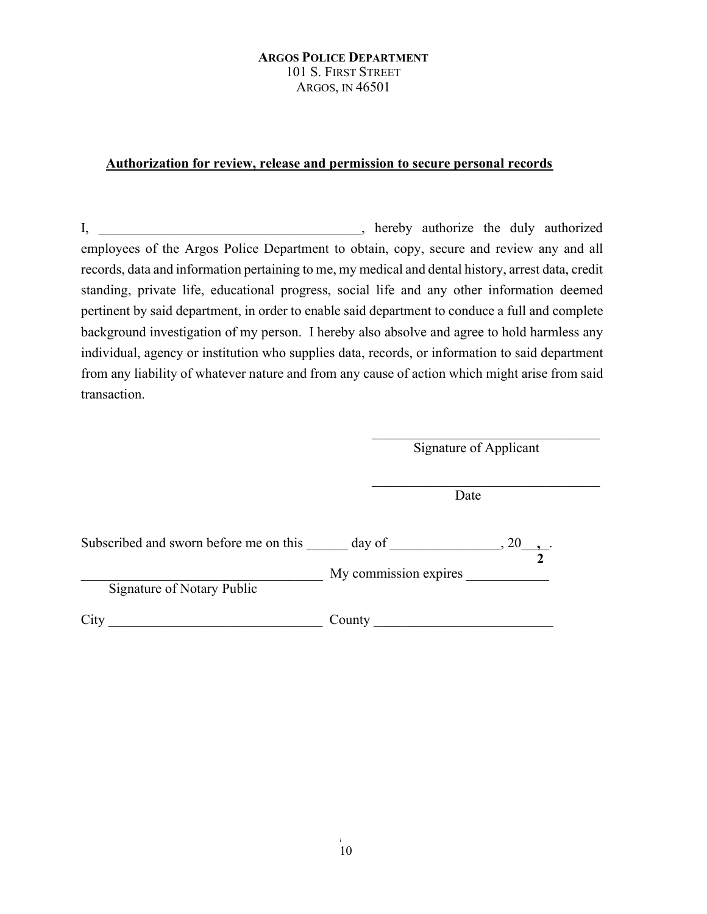#### ARGOS POLICE DEPARTMENT 101 S. FIRST STREET ARGOS, IN 46501

#### Authorization for review, release and permission to secure personal records

I, hereby authorize the duly authorized employees of the Argos Police Department to obtain, copy, secure and review any and all records, data and information pertaining to me, my medical and dental history, arrest data, credit standing, private life, educational progress, social life and any other information deemed pertinent by said department, in order to enable said department to conduce a full and complete background investigation of my person. I hereby also absolve and agree to hold harmless any individual, agency or institution who supplies data, records, or information to said department from any liability of whatever nature and from any cause of action which might arise from said transaction.

Signature of Applicant

**Date** 

| Subscribed and sworn before me on this | day of                |  |
|----------------------------------------|-----------------------|--|
| Signature of Notary Public             | My commission expires |  |
|                                        | County                |  |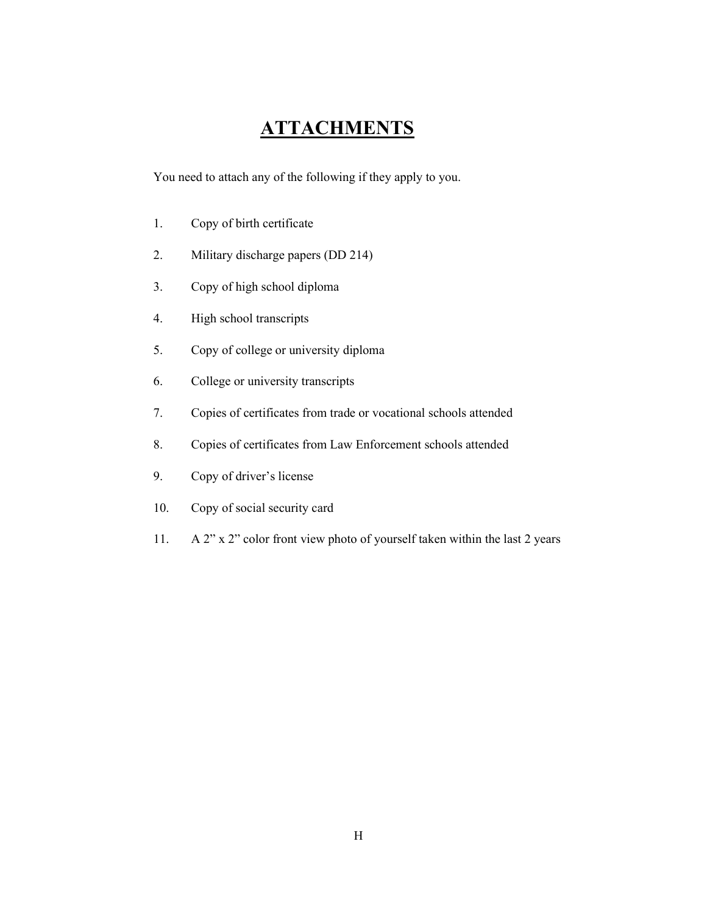## **ATTACHMENTS**

You need to attach any of the following if they apply to you.

- 1. Copy of birth certificate
- 2. Military discharge papers (DD 214)
- 3. Copy of high school diploma
- 4. High school transcripts
- 5. Copy of college or university diploma
- 6. College or university transcripts
- 7. Copies of certificates from trade or vocational schools attended
- 8. Copies of certificates from Law Enforcement schools attended
- 9. Copy of driver's license
- 10. Copy of social security card
- 11. A 2" x 2" color front view photo of yourself taken within the last 2 years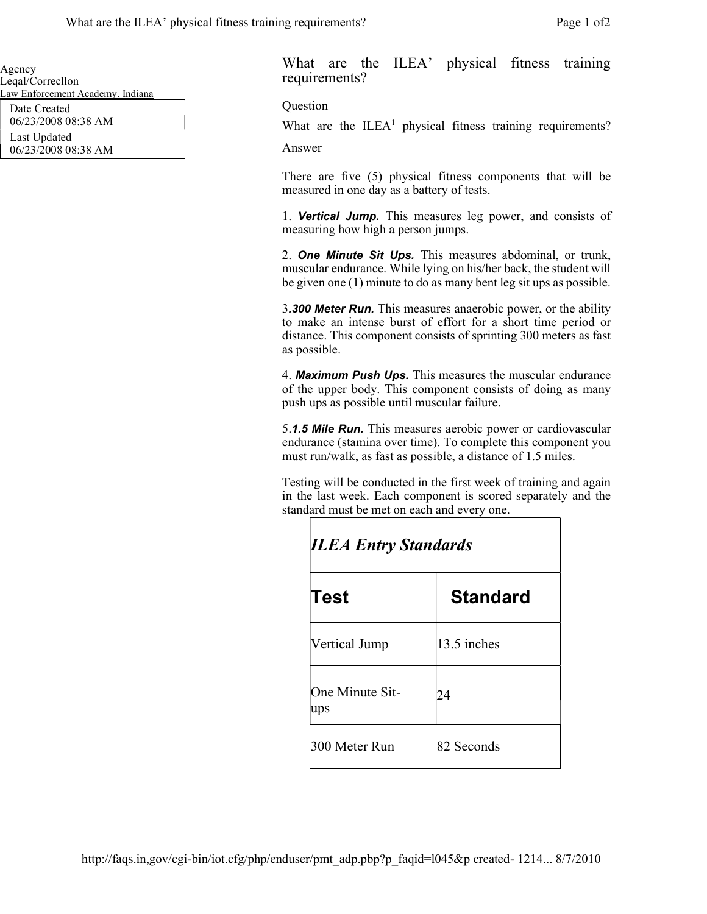| Agency                           |  |
|----------------------------------|--|
| Leqal/Correcllon                 |  |
| Law Enforcement Academy. Indiana |  |
| Date Created                     |  |
| 06/23/2008 08:38 AM              |  |
| Last Updated                     |  |

06/23/2008 08:38 AM

What are the ILEA' physical fitness training requirements?

Question

What are the  $ILEA<sup>1</sup>$  physical fitness training requirements?

Answer

There are five (5) physical fitness components that will be measured in one day as a battery of tests.

1. Vertical Jump. This measures leg power, and consists of measuring how high a person jumps.

2. **One Minute Sit Ups.** This measures abdominal, or trunk, muscular endurance. While lying on his/her back, the student will be given one (1) minute to do as many bent leg sit ups as possible.

3.300 Meter Run. This measures anaerobic power, or the ability to make an intense burst of effort for a short time period or distance. This component consists of sprinting 300 meters as fast as possible.

4. Maximum Push Ups. This measures the muscular endurance of the upper body. This component consists of doing as many push ups as possible until muscular failure.

5.1.5 Mile Run. This measures aerobic power or cardiovascular endurance (stamina over time). To complete this component you must run/walk, as fast as possible, a distance of 1.5 miles.

Testing will be conducted in the first week of training and again in the last week. Each component is scored separately and the standard must be met on each and every one.

| <b>ILEA Entry Standards</b>   |                 |  |
|-------------------------------|-----------------|--|
| Test                          | <b>Standard</b> |  |
| Vertical Jump                 | 13.5 inches     |  |
| One Minute Sit-<br><b>ups</b> | 24              |  |
| 300 Meter Run                 | 82 Seconds      |  |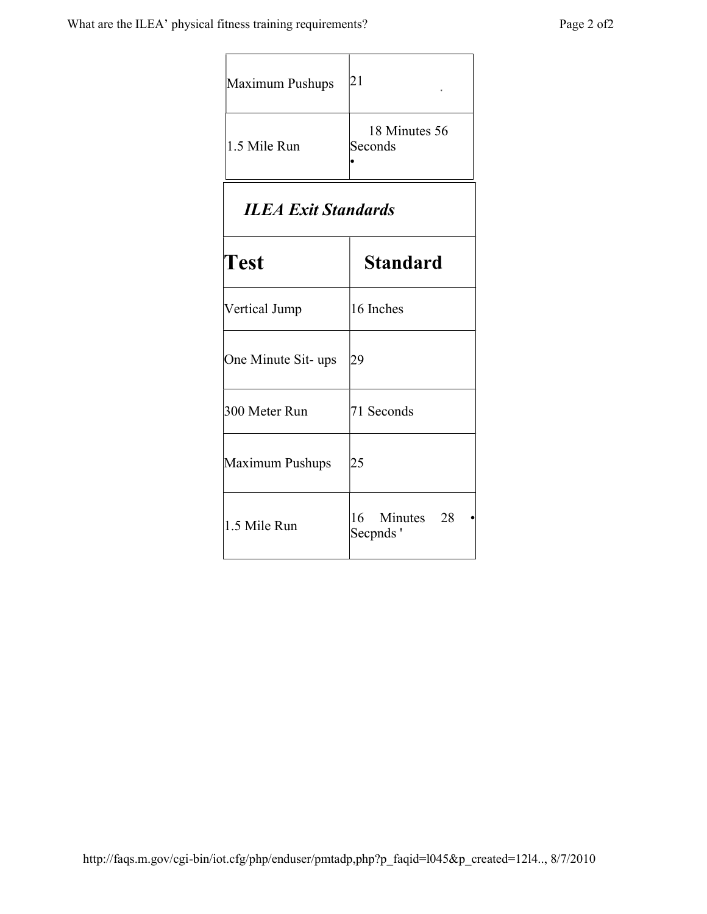$\Gamma$ 

| Maximum Pushups | 21                       |
|-----------------|--------------------------|
| 1.5 Mile Run    | 18 Minutes 56<br>Seconds |

# ILEA Exit Standards

| $\bf Test$          | <b>Standard</b>           |
|---------------------|---------------------------|
| Vertical Jump       | 16 Inches                 |
| One Minute Sit- ups | 29                        |
| 300 Meter Run       | 71 Seconds                |
| Maximum Pushups     | 25                        |
| 1.5 Mile Run        | 16 Minutes 28<br>Secpnds' |